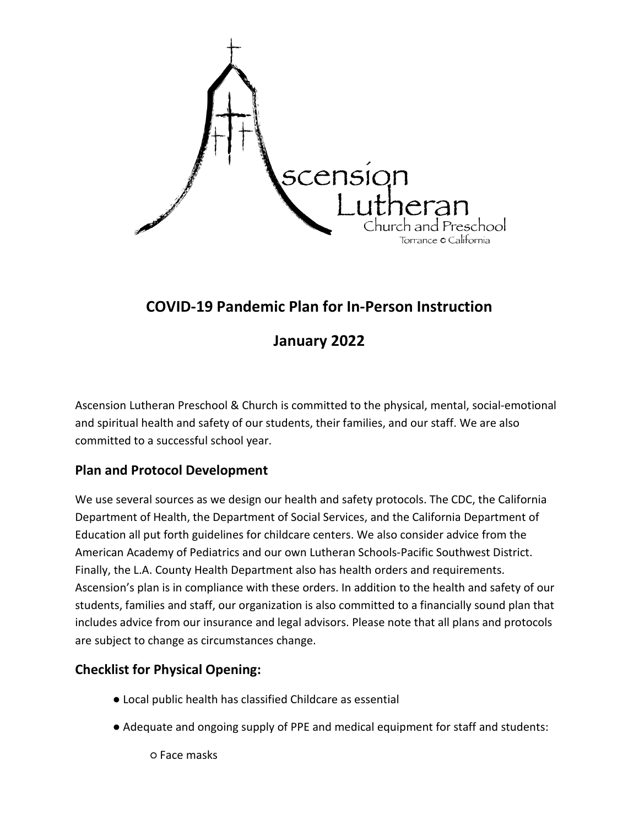

# **COVID-19 Pandemic Plan for In-Person Instruction**

## **January 2022**

Ascension Lutheran Preschool & Church is committed to the physical, mental, social-emotional and spiritual health and safety of our students, their families, and our staff. We are also committed to a successful school year.

## **Plan and Protocol Development**

We use several sources as we design our health and safety protocols. The CDC, the California Department of Health, the Department of Social Services, and the California Department of Education all put forth guidelines for childcare centers. We also consider advice from the American Academy of Pediatrics and our own Lutheran Schools-Pacific Southwest District. Finally, the L.A. County Health Department also has health orders and requirements. Ascension's plan is in compliance with these orders. In addition to the health and safety of our students, families and staff, our organization is also committed to a financially sound plan that includes advice from our insurance and legal advisors. Please note that all plans and protocols are subject to change as circumstances change.

## **Checklist for Physical Opening:**

- Local public health has classified Childcare as essential
- Adequate and ongoing supply of PPE and medical equipment for staff and students:

○ Face masks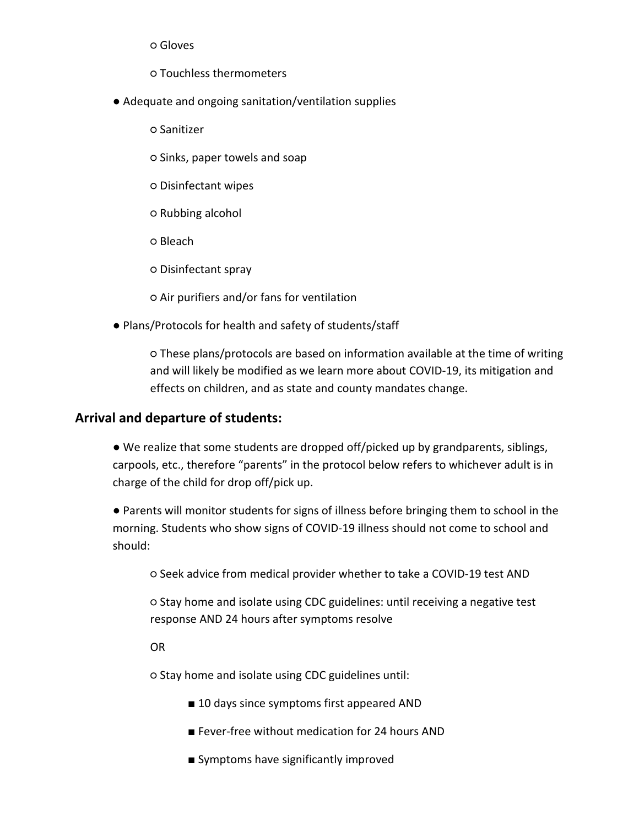○ Gloves

- Touchless thermometers
- Adequate and ongoing sanitation/ventilation supplies
	- Sanitizer
	- Sinks, paper towels and soap
	- Disinfectant wipes
	- Rubbing alcohol
	- Bleach
	- Disinfectant spray
	- Air purifiers and/or fans for ventilation
- Plans/Protocols for health and safety of students/staff

○ These plans/protocols are based on information available at the time of writing and will likely be modified as we learn more about COVID-19, its mitigation and effects on children, and as state and county mandates change.

#### **Arrival and departure of students:**

● We realize that some students are dropped off/picked up by grandparents, siblings, carpools, etc., therefore "parents" in the protocol below refers to whichever adult is in charge of the child for drop off/pick up.

● Parents will monitor students for signs of illness before bringing them to school in the morning. Students who show signs of COVID-19 illness should not come to school and should:

○ Seek advice from medical provider whether to take a COVID-19 test AND

○ Stay home and isolate using CDC guidelines: until receiving a negative test response AND 24 hours after symptoms resolve

OR

○ Stay home and isolate using CDC guidelines until:

- 10 days since symptoms first appeared AND
- Fever-free without medication for 24 hours AND
- Symptoms have significantly improved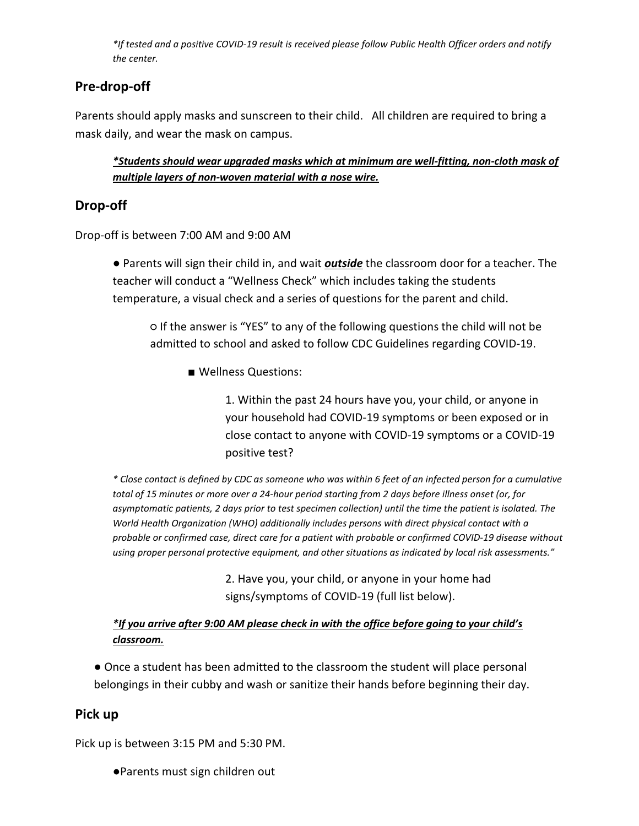*\*If tested and a positive COVID-19 result is received please follow Public Health Officer orders and notify the center.*

## **Pre-drop-off**

Parents should apply masks and sunscreen to their child. All children are required to bring a mask daily, and wear the mask on campus.

*\*Students should wear upgraded masks which at minimum are well-fitting, non-cloth mask of multiple layers of non-woven material with a nose wire.*

## **Drop-off**

Drop-off is between 7:00 AM and 9:00 AM

● Parents will sign their child in, and wait *outside* the classroom door for a teacher. The teacher will conduct a "Wellness Check" which includes taking the students temperature, a visual check and a series of questions for the parent and child.

○ If the answer is "YES" to any of the following questions the child will not be admitted to school and asked to follow CDC Guidelines regarding COVID-19.

■ Wellness Questions:

1. Within the past 24 hours have you, your child, or anyone in your household had COVID-19 symptoms or been exposed or in close contact to anyone with COVID-19 symptoms or a COVID-19 positive test?

*\* Close contact is defined by CDC as someone who was within 6 feet of an infected person for a cumulative total of 15 minutes or more over a 24-hour period starting from 2 days before illness onset (or, for asymptomatic patients, 2 days prior to test specimen collection) until the time the patient is isolated. The World Health Organization (WHO) additionally includes persons with direct physical contact with a probable or confirmed case, direct care for a patient with probable or confirmed COVID-19 disease without using proper personal protective equipment, and other situations as indicated by local risk assessments."*

> 2. Have you, your child, or anyone in your home had signs/symptoms of COVID-19 (full list below).

### *\*If you arrive after 9:00 AM please check in with the office before going to your child's classroom.*

● Once a student has been admitted to the classroom the student will place personal belongings in their cubby and wash or sanitize their hands before beginning their day.

## **Pick up**

Pick up is between 3:15 PM and 5:30 PM.

●Parents must sign children out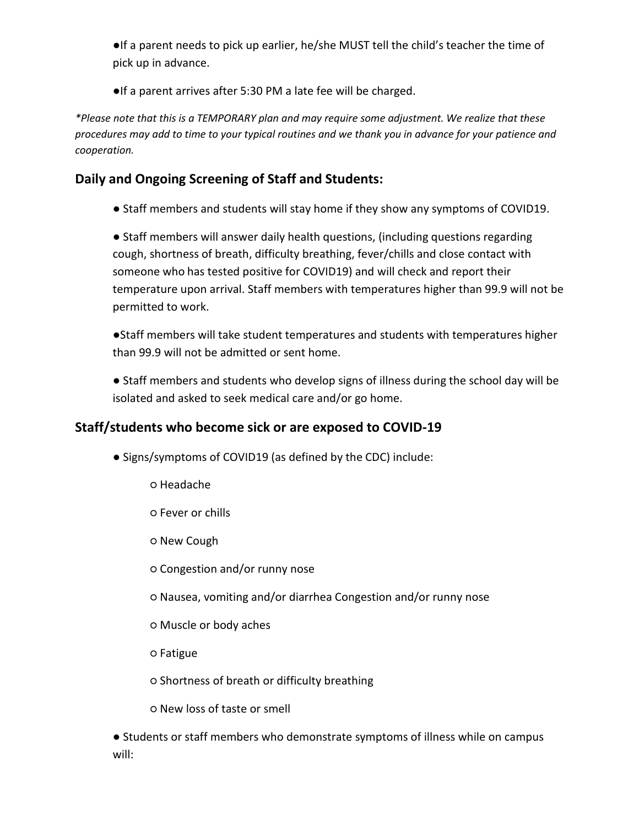●If a parent needs to pick up earlier, he/she MUST tell the child's teacher the time of pick up in advance.

●If a parent arrives after 5:30 PM a late fee will be charged.

*\*Please note that this is a TEMPORARY plan and may require some adjustment. We realize that these procedures may add to time to your typical routines and we thank you in advance for your patience and cooperation.*

## **Daily and Ongoing Screening of Staff and Students:**

● Staff members and students will stay home if they show any symptoms of COVID19.

● Staff members will answer daily health questions, (including questions regarding cough, shortness of breath, difficulty breathing, fever/chills and close contact with someone who has tested positive for COVID19) and will check and report their temperature upon arrival. Staff members with temperatures higher than 99.9 will not be permitted to work.

●Staff members will take student temperatures and students with temperatures higher than 99.9 will not be admitted or sent home.

● Staff members and students who develop signs of illness during the school day will be isolated and asked to seek medical care and/or go home.

## **Staff/students who become sick or are exposed to COVID-19**

- Signs/symptoms of COVID19 (as defined by the CDC) include:
	- Headache
	- Fever or chills
	- New Cough
	- Congestion and/or runny nose
	- Nausea, vomiting and/or diarrhea Congestion and/or runny nose
	- Muscle or body aches
	- Fatigue
	- Shortness of breath or difficulty breathing
	- New loss of taste or smell

● Students or staff members who demonstrate symptoms of illness while on campus will: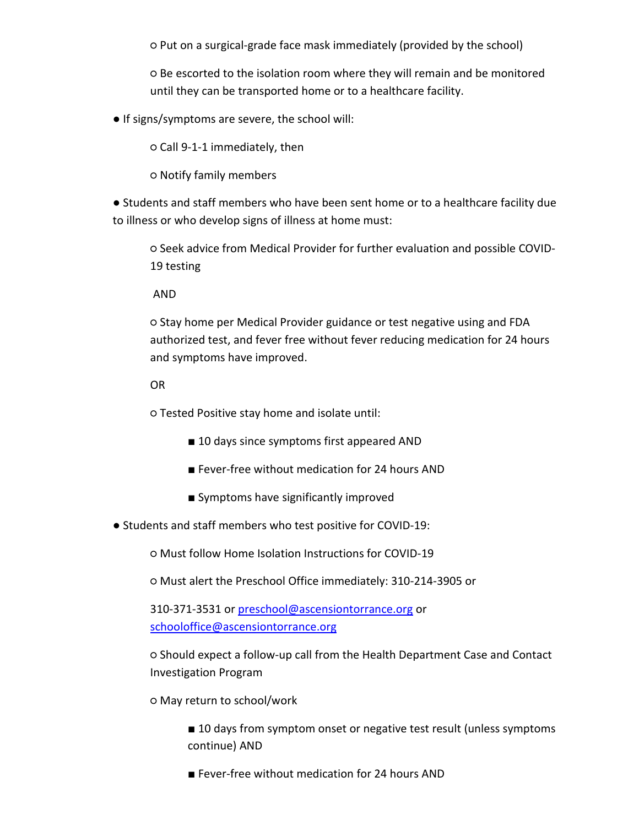○ Put on a surgical-grade face mask immediately (provided by the school)

○ Be escorted to the isolation room where they will remain and be monitored until they can be transported home or to a healthcare facility.

● If signs/symptoms are severe, the school will:

○ Call 9-1-1 immediately, then

○ Notify family members

● Students and staff members who have been sent home or to a healthcare facility due to illness or who develop signs of illness at home must:

○ Seek advice from Medical Provider for further evaluation and possible COVID-19 testing

AND

○ Stay home per Medical Provider guidance or test negative using and FDA authorized test, and fever free without fever reducing medication for 24 hours and symptoms have improved.

OR

○ Tested Positive stay home and isolate until:

- 10 days since symptoms first appeared AND
- Fever-free without medication for 24 hours AND
- Symptoms have significantly improved
- Students and staff members who test positive for COVID-19:

○ Must follow Home Isolation Instructions for COVID-19

○ Must alert the Preschool Office immediately: 310-214-3905 or

310-371-3531 or [preschool@ascensiontorrance.org](mailto:preschool@ascensiontorrance.org) or [schooloffice@ascensiontorrance.org](mailto:schooloffice@ascensiontorrance.org)

○ Should expect a follow-up call from the Health Department Case and Contact Investigation Program

○ May return to school/work

■ 10 days from symptom onset or negative test result (unless symptoms continue) AND

■ Fever-free without medication for 24 hours AND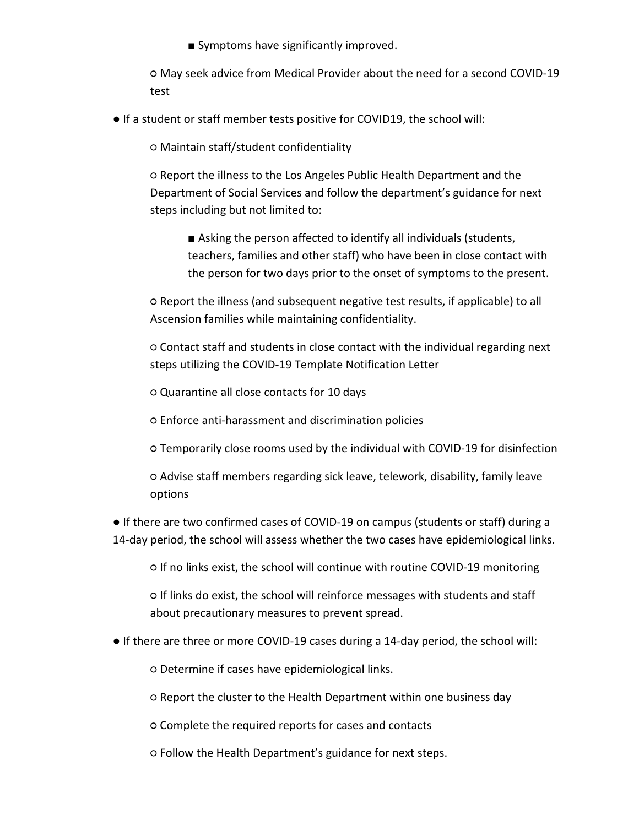■ Symptoms have significantly improved.

○ May seek advice from Medical Provider about the need for a second COVID-19 test

● If a student or staff member tests positive for COVID19, the school will:

○ Maintain staff/student confidentiality

○ Report the illness to the Los Angeles Public Health Department and the Department of Social Services and follow the department's guidance for next steps including but not limited to:

■ Asking the person affected to identify all individuals (students, teachers, families and other staff) who have been in close contact with the person for two days prior to the onset of symptoms to the present.

○ Report the illness (and subsequent negative test results, if applicable) to all Ascension families while maintaining confidentiality.

○ Contact staff and students in close contact with the individual regarding next steps utilizing the COVID-19 Template Notification Letter

○ Quarantine all close contacts for 10 days

○ Enforce anti-harassment and discrimination policies

○ Temporarily close rooms used by the individual with COVID-19 for disinfection

○ Advise staff members regarding sick leave, telework, disability, family leave options

● If there are two confirmed cases of COVID-19 on campus (students or staff) during a 14-day period, the school will assess whether the two cases have epidemiological links.

○ If no links exist, the school will continue with routine COVID-19 monitoring

○ If links do exist, the school will reinforce messages with students and staff about precautionary measures to prevent spread.

● If there are three or more COVID-19 cases during a 14-day period, the school will:

○ Determine if cases have epidemiological links.

○ Report the cluster to the Health Department within one business day

○ Complete the required reports for cases and contacts

○ Follow the Health Department's guidance for next steps.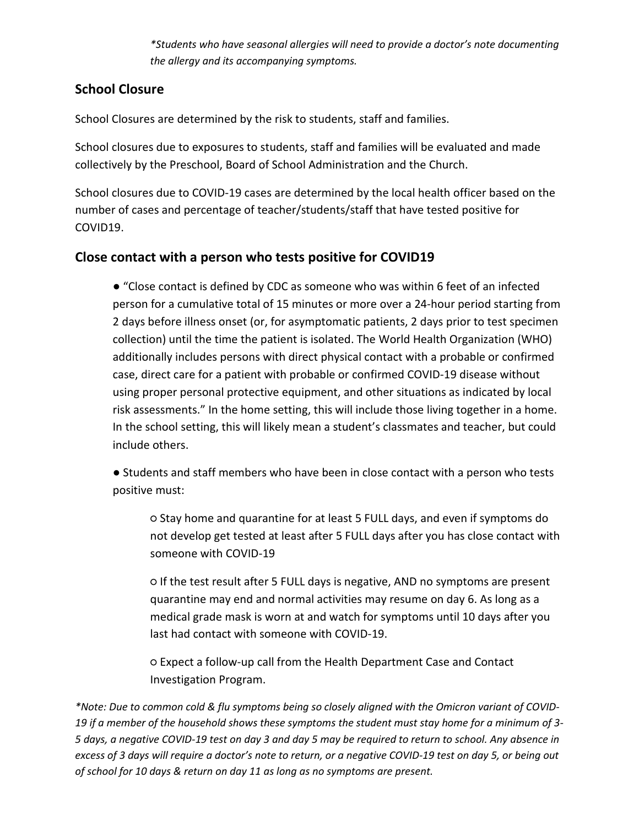*\*Students who have seasonal allergies will need to provide a doctor's note documenting the allergy and its accompanying symptoms.* 

### **School Closure**

School Closures are determined by the risk to students, staff and families.

School closures due to exposures to students, staff and families will be evaluated and made collectively by the Preschool, Board of School Administration and the Church.

School closures due to COVID-19 cases are determined by the local health officer based on the number of cases and percentage of teacher/students/staff that have tested positive for COVID19.

### **Close contact with a person who tests positive for COVID19**

● "Close contact is defined by CDC as someone who was within 6 feet of an infected person for a cumulative total of 15 minutes or more over a 24-hour period starting from 2 days before illness onset (or, for asymptomatic patients, 2 days prior to test specimen collection) until the time the patient is isolated. The World Health Organization (WHO) additionally includes persons with direct physical contact with a probable or confirmed case, direct care for a patient with probable or confirmed COVID-19 disease without using proper personal protective equipment, and other situations as indicated by local risk assessments." In the home setting, this will include those living together in a home. In the school setting, this will likely mean a student's classmates and teacher, but could include others.

● Students and staff members who have been in close contact with a person who tests positive must:

○ Stay home and quarantine for at least 5 FULL days, and even if symptoms do not develop get tested at least after 5 FULL days after you has close contact with someone with COVID-19

○ If the test result after 5 FULL days is negative, AND no symptoms are present quarantine may end and normal activities may resume on day 6. As long as a medical grade mask is worn at and watch for symptoms until 10 days after you last had contact with someone with COVID-19.

○ Expect a follow-up call from the Health Department Case and Contact Investigation Program.

*\*Note: Due to common cold & flu symptoms being so closely aligned with the Omicron variant of COVID-19 if a member of the household shows these symptoms the student must stay home for a minimum of 3- 5 days, a negative COVID-19 test on day 3 and day 5 may be required to return to school. Any absence in excess of 3 days will require a doctor's note to return, or a negative COVID-19 test on day 5, or being out of school for 10 days & return on day 11 as long as no symptoms are present.*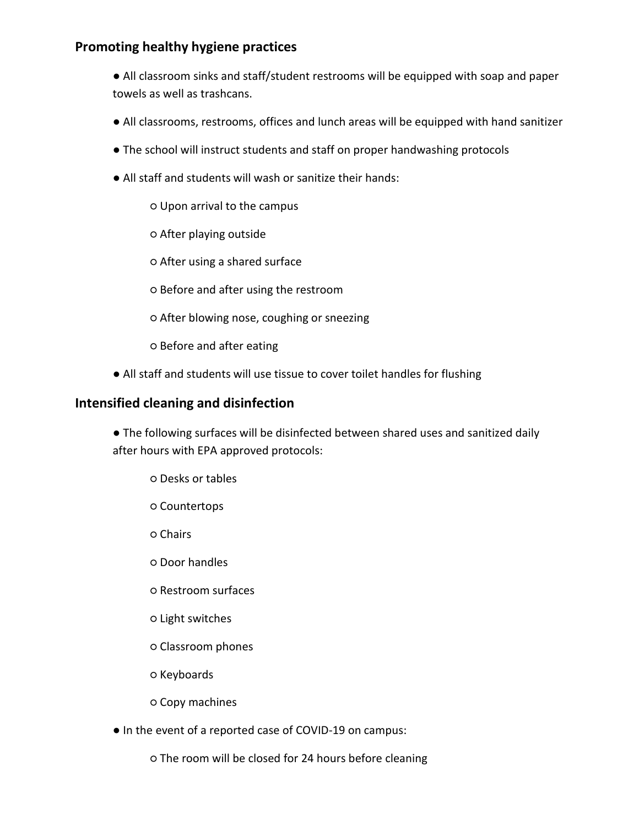### **Promoting healthy hygiene practices**

- All classroom sinks and staff/student restrooms will be equipped with soap and paper towels as well as trashcans.
- All classrooms, restrooms, offices and lunch areas will be equipped with hand sanitizer
- The school will instruct students and staff on proper handwashing protocols
- All staff and students will wash or sanitize their hands:
	- Upon arrival to the campus
	- After playing outside
	- After using a shared surface
	- Before and after using the restroom
	- After blowing nose, coughing or sneezing
	- Before and after eating
- All staff and students will use tissue to cover toilet handles for flushing

#### **Intensified cleaning and disinfection**

- The following surfaces will be disinfected between shared uses and sanitized daily after hours with EPA approved protocols:
	- Desks or tables
	- Countertops
	- Chairs
	- Door handles
	- Restroom surfaces
	- Light switches
	- Classroom phones
	- Keyboards
	- Copy machines
- In the event of a reported case of COVID-19 on campus:
	- The room will be closed for 24 hours before cleaning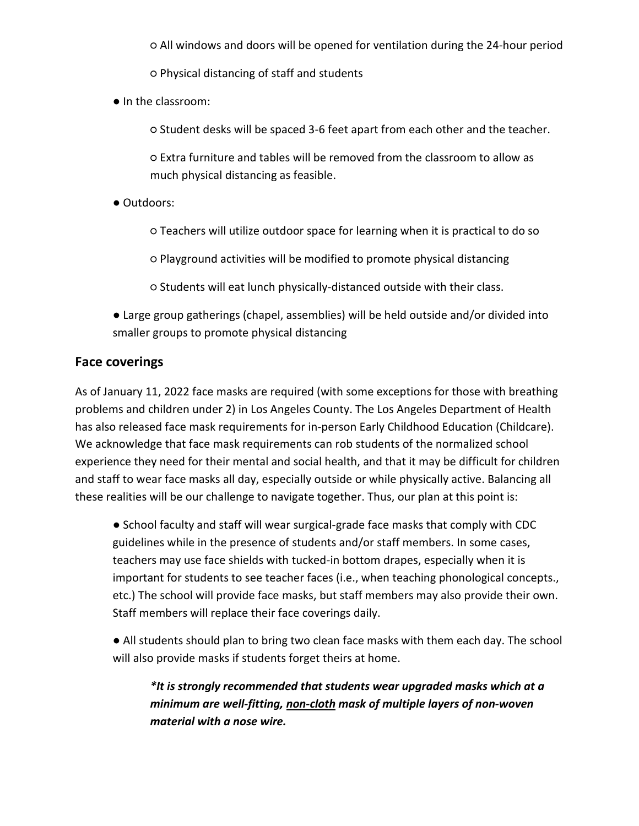○ All windows and doors will be opened for ventilation during the 24-hour period

○ Physical distancing of staff and students

● In the classroom:

○ Student desks will be spaced 3-6 feet apart from each other and the teacher.

○ Extra furniture and tables will be removed from the classroom to allow as much physical distancing as feasible.

● Outdoors:

○ Teachers will utilize outdoor space for learning when it is practical to do so

○ Playground activities will be modified to promote physical distancing

○ Students will eat lunch physically-distanced outside with their class.

● Large group gatherings (chapel, assemblies) will be held outside and/or divided into smaller groups to promote physical distancing

#### **Face coverings**

As of January 11, 2022 face masks are required (with some exceptions for those with breathing problems and children under 2) in Los Angeles County. The Los Angeles Department of Health has also released face mask requirements for in-person Early Childhood Education (Childcare). We acknowledge that face mask requirements can rob students of the normalized school experience they need for their mental and social health, and that it may be difficult for children and staff to wear face masks all day, especially outside or while physically active. Balancing all these realities will be our challenge to navigate together. Thus, our plan at this point is:

● School faculty and staff will wear surgical-grade face masks that comply with CDC guidelines while in the presence of students and/or staff members. In some cases, teachers may use face shields with tucked-in bottom drapes, especially when it is important for students to see teacher faces (i.e., when teaching phonological concepts., etc.) The school will provide face masks, but staff members may also provide their own. Staff members will replace their face coverings daily.

● All students should plan to bring two clean face masks with them each day. The school will also provide masks if students forget theirs at home.

*\*It is strongly recommended that students wear upgraded masks which at a minimum are well-fitting, non-cloth mask of multiple layers of non-woven material with a nose wire.*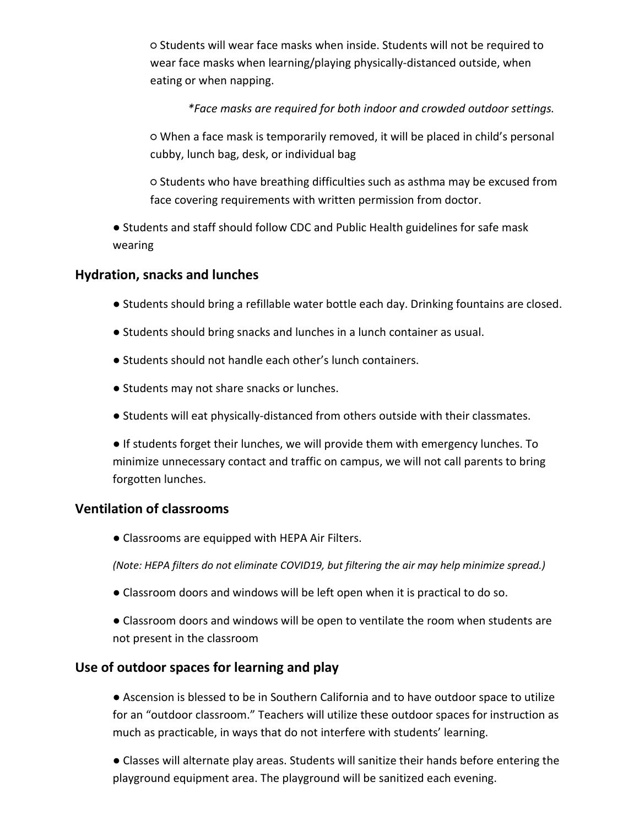○ Students will wear face masks when inside. Students will not be required to wear face masks when learning/playing physically-distanced outside, when eating or when napping.

#### *\*Face masks are required for both indoor and crowded outdoor settings.*

○ When a face mask is temporarily removed, it will be placed in child's personal cubby, lunch bag, desk, or individual bag

○ Students who have breathing difficulties such as asthma may be excused from face covering requirements with written permission from doctor.

● Students and staff should follow CDC and Public Health guidelines for safe mask wearing

#### **Hydration, snacks and lunches**

- Students should bring a refillable water bottle each day. Drinking fountains are closed.
- Students should bring snacks and lunches in a lunch container as usual.
- Students should not handle each other's lunch containers.
- Students may not share snacks or lunches.
- Students will eat physically-distanced from others outside with their classmates.

● If students forget their lunches, we will provide them with emergency lunches. To minimize unnecessary contact and traffic on campus, we will not call parents to bring forgotten lunches.

#### **Ventilation of classrooms**

● Classrooms are equipped with HEPA Air Filters.

*(Note: HEPA filters do not eliminate COVID19, but filtering the air may help minimize spread.)* 

● Classroom doors and windows will be left open when it is practical to do so.

● Classroom doors and windows will be open to ventilate the room when students are not present in the classroom

#### **Use of outdoor spaces for learning and play**

● Ascension is blessed to be in Southern California and to have outdoor space to utilize for an "outdoor classroom." Teachers will utilize these outdoor spaces for instruction as much as practicable, in ways that do not interfere with students' learning.

● Classes will alternate play areas. Students will sanitize their hands before entering the playground equipment area. The playground will be sanitized each evening.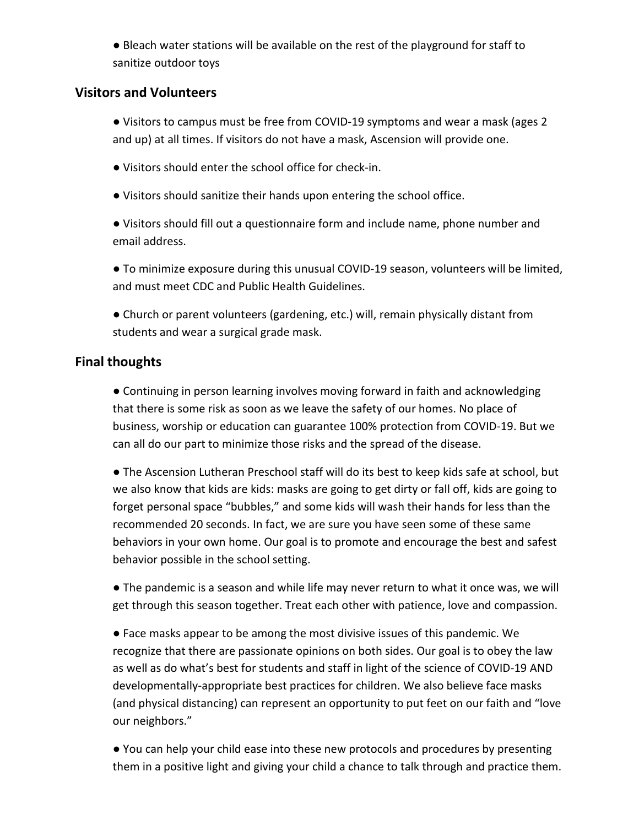● Bleach water stations will be available on the rest of the playground for staff to sanitize outdoor toys

#### **Visitors and Volunteers**

● Visitors to campus must be free from COVID-19 symptoms and wear a mask (ages 2 and up) at all times. If visitors do not have a mask, Ascension will provide one.

- Visitors should enter the school office for check-in.
- Visitors should sanitize their hands upon entering the school office.

● Visitors should fill out a questionnaire form and include name, phone number and email address.

● To minimize exposure during this unusual COVID-19 season, volunteers will be limited, and must meet CDC and Public Health Guidelines.

● Church or parent volunteers (gardening, etc.) will, remain physically distant from students and wear a surgical grade mask.

#### **Final thoughts**

● Continuing in person learning involves moving forward in faith and acknowledging that there is some risk as soon as we leave the safety of our homes. No place of business, worship or education can guarantee 100% protection from COVID-19. But we can all do our part to minimize those risks and the spread of the disease.

● The Ascension Lutheran Preschool staff will do its best to keep kids safe at school, but we also know that kids are kids: masks are going to get dirty or fall off, kids are going to forget personal space "bubbles," and some kids will wash their hands for less than the recommended 20 seconds. In fact, we are sure you have seen some of these same behaviors in your own home. Our goal is to promote and encourage the best and safest behavior possible in the school setting.

● The pandemic is a season and while life may never return to what it once was, we will get through this season together. Treat each other with patience, love and compassion.

● Face masks appear to be among the most divisive issues of this pandemic. We recognize that there are passionate opinions on both sides. Our goal is to obey the law as well as do what's best for students and staff in light of the science of COVID-19 AND developmentally-appropriate best practices for children. We also believe face masks (and physical distancing) can represent an opportunity to put feet on our faith and "love our neighbors."

● You can help your child ease into these new protocols and procedures by presenting them in a positive light and giving your child a chance to talk through and practice them.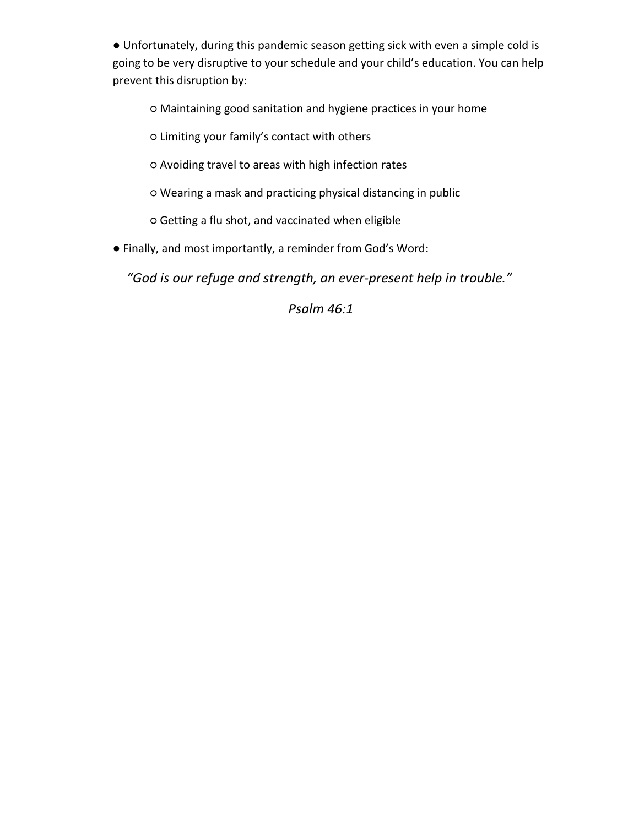● Unfortunately, during this pandemic season getting sick with even a simple cold is going to be very disruptive to your schedule and your child's education. You can help prevent this disruption by:

○ Maintaining good sanitation and hygiene practices in your home

○ Limiting your family's contact with others

○ Avoiding travel to areas with high infection rates

○ Wearing a mask and practicing physical distancing in public

○ Getting a flu shot, and vaccinated when eligible

● Finally, and most importantly, a reminder from God's Word:

*"God is our refuge and strength, an ever-present help in trouble."*

*Psalm 46:1*